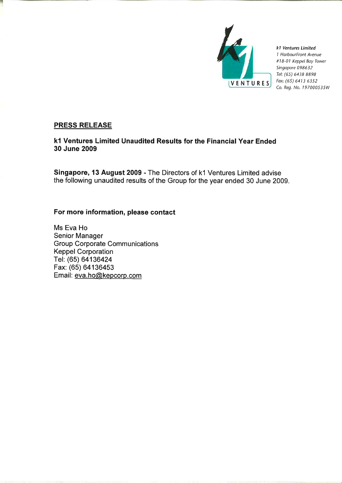

k1 Ventures Limited 1 HarbourFront Avenue #18-01 Keppel Bay Tower Singapore 098632 Tel: (65) 6438 8898 Fax: (65) 6413 6352 Co. Reg. No. 197000535W

# **PRESS RELEASE**

k1 Ventures Limited Unaudited Results for the Financial Year Ended 30 June 2009

Singapore, 13 August 2009 - The Directors of k1 Ventures Limited advise the following unaudited results of the Group for the year ended 30 June 2009.

# For more information, please contact

Ms Eva Ho Senior Manager **Group Corporate Communications Keppel Corporation** Tel: (65) 64136424 Fax: (65) 64136453 Email: eva.ho@kepcorp.com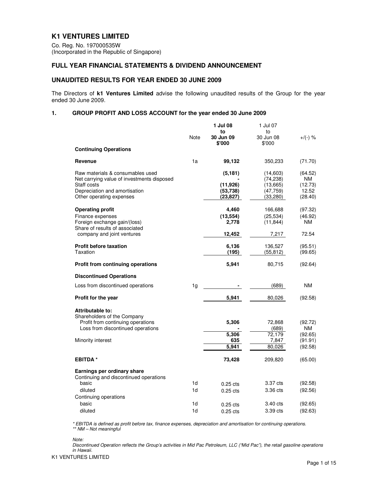# **K1 VENTURES LIMITED**

Co. Reg. No. 197000535W (Incorporated in the Republic of Singapore)

## **FULL YEAR FINANCIAL STATEMENTS & DIVIDEND ANNOUNCEMENT**

### **UNAUDITED RESULTS FOR YEAR ENDED 30 JUNE 2009**

The Directors of **k1 Ventures Limited** advise the following unaudited results of the Group for the year ended 30 June 2009.

### **1. GROUP PROFIT AND LOSS ACCOUNT for the year ended 30 June 2009**

|                                                                                | Note | 1 Jul 08<br>to<br>30 Jun 09 | 1 Jul 07<br>to<br>30 Jun 08 | $+$ /(-) %    |
|--------------------------------------------------------------------------------|------|-----------------------------|-----------------------------|---------------|
|                                                                                |      | \$'000                      | \$'000                      |               |
| <b>Continuing Operations</b>                                                   |      |                             |                             |               |
| Revenue                                                                        | 1a   | 99,132                      | 350,233                     | (71.70)       |
| Raw materials & consumables used<br>Net carrying value of investments disposed |      | (5, 181)                    | (14,603)<br>(74, 238)       | (64.52)<br>ΝM |
| Staff costs                                                                    |      | (11, 926)                   | (13,665)                    | (12.73)       |
| Depreciation and amortisation                                                  |      | (53, 738)                   | (47, 759)                   | 12.52         |
| Other operating expenses                                                       |      | (23, 827)                   | (33, 280)                   | (28.40)       |
| <b>Operating profit</b>                                                        |      | 4,460                       | 166,688                     | (97.32)       |
| Finance expenses                                                               |      | (13, 554)                   | (25, 534)                   | (46.92)       |
| Foreign exchange gain/(loss)<br>Share of results of associated                 |      | 2,778                       | (11, 844)                   | NM            |
| company and joint ventures                                                     |      | 12,452                      | 7,217                       | 72.54         |
| <b>Profit before taxation</b>                                                  |      | 6,136                       | 136,527                     | (95.51)       |
| Taxation                                                                       |      | (195)                       | (55, 812)                   | (99.65)       |
| <b>Profit from continuing operations</b>                                       |      | 5,941                       | 80,715                      | (92.64)       |
| <b>Discontinued Operations</b>                                                 |      |                             |                             |               |
| Loss from discontinued operations                                              | 1g   |                             | (689)                       | NΜ            |
| <b>Profit for the year</b>                                                     |      | 5,941                       | 80,026                      | (92.58)       |
| Attributable to:                                                               |      |                             |                             |               |
| Shareholders of the Company                                                    |      |                             |                             |               |
| Profit from continuing operations<br>Loss from discontinued operations         |      | 5,306                       | 72,868                      | (92.72)<br>ΝM |
|                                                                                |      | 5,306                       | (689)<br>72,179             | (92.65)       |
| Minority interest                                                              |      | 635                         | 7,847                       | (91.91)       |
|                                                                                |      | 5,941                       | 80,026                      | (92.58)       |
| <b>EBITDA*</b>                                                                 |      | 73,428                      | 209,820                     | (65.00)       |
| Earnings per ordinary share                                                    |      |                             |                             |               |
| Continuing and discontinued operations                                         |      |                             |                             |               |
| basic                                                                          | 1d   | $0.25$ cts                  | 3.37 cts                    | (92.58)       |
| diluted                                                                        | 1d   | $0.25$ cts                  | 3.36 cts                    | (92.56)       |
| Continuing operations                                                          |      |                             |                             |               |
| basic                                                                          | 1d   | $0.25$ cts                  | 3.40 cts                    | (92.65)       |
| diluted                                                                        | 1d   | $0.25$ cts                  | 3.39 cts                    | (92.63)       |

\* EBITDA is defined as profit before tax, finance expenses, depreciation and amortisation for continuing operations. \*\* NM – Not meaningful

Note:

Discontinued Operation reflects the Group's activities in Mid Pac Petroleum, LLC ("Mid Pac"), the retail gasoline operations in Hawaii.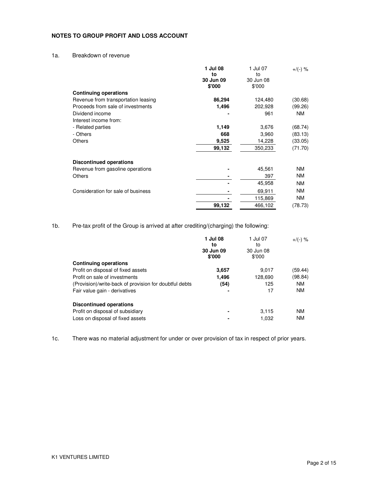## **NOTES TO GROUP PROFIT AND LOSS ACCOUNT**

# 1a. Breakdown of revenue

|                                     | 1 Jul 08<br>to<br>30 Jun 09<br>\$'000 | 1 Jul 07<br>to<br>30 Jun 08<br>\$'000 | $+$ /(-) % |
|-------------------------------------|---------------------------------------|---------------------------------------|------------|
| <b>Continuing operations</b>        |                                       |                                       |            |
| Revenue from transportation leasing | 86,294                                | 124,480                               | (30.68)    |
| Proceeds from sale of investments   | 1,496                                 | 202,928                               | (99.26)    |
| Dividend income                     |                                       | 961                                   | <b>NM</b>  |
| Interest income from:               |                                       |                                       |            |
| - Related parties                   | 1,149                                 | 3,676                                 | (68.74)    |
| - Others                            | 668                                   | 3,960                                 | (83.13)    |
| <b>Others</b>                       | 9,525                                 | 14,228                                | (33.05)    |
|                                     | 99,132                                | 350,233                               | (71.70)    |
| <b>Discontinued operations</b>      |                                       |                                       |            |
| Revenue from gasoline operations    |                                       | 45,561                                | <b>NM</b>  |
| Others                              |                                       | 397                                   | <b>NM</b>  |
|                                     |                                       | 45.958                                | <b>NM</b>  |
| Consideration for sale of business  |                                       | 69.911                                | <b>NM</b>  |
|                                     |                                       | 115,869                               | <b>NM</b>  |
|                                     | 99,132                                | 466,102                               | (78.73)    |

1b. Pre-tax profit of the Group is arrived at after crediting/(charging) the following:

|                                                        | 1 Jul 08<br>to<br>30 Jun 09<br>\$'000 | 1 Jul 07<br>to<br>30 Jun 08<br>\$'000 | $+$ /(-) % |
|--------------------------------------------------------|---------------------------------------|---------------------------------------|------------|
| <b>Continuing operations</b>                           |                                       |                                       |            |
| Profit on disposal of fixed assets                     | 3,657                                 | 9.017                                 | (59.44)    |
| Profit on sale of investments                          | 1,496                                 | 128,690                               | (98.84)    |
| (Provision)/write-back of provision for doubtful debts | (54)                                  | 125                                   | <b>NM</b>  |
| Fair value gain - derivatives                          |                                       | 17                                    | <b>NM</b>  |
| <b>Discontinued operations</b>                         |                                       |                                       |            |
| Profit on disposal of subsidiary                       |                                       | 3.115                                 | <b>NM</b>  |
| Loss on disposal of fixed assets                       |                                       | 1.032                                 | <b>NM</b>  |

1c. There was no material adjustment for under or over provision of tax in respect of prior years.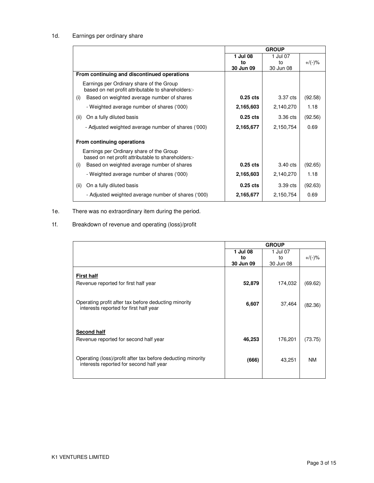# 1d. Earnings per ordinary share

|                                                                                                | <b>GROUP</b> |           |           |
|------------------------------------------------------------------------------------------------|--------------|-----------|-----------|
|                                                                                                | 1 Jul 08     | 1 Jul 07  |           |
|                                                                                                | to           | to        | $+/(-)$ % |
|                                                                                                | 30 Jun 09    | 30 Jun 08 |           |
| From continuing and discontinued operations                                                    |              |           |           |
| Earnings per Ordinary share of the Group<br>based on net profit attributable to shareholders:- |              |           |           |
| Based on weighted average number of shares<br>(i)                                              | $0.25$ cts   | 3.37 cts  | (92.58)   |
| - Weighted average number of shares ('000)                                                     | 2,165,603    | 2,140,270 | 1.18      |
| On a fully diluted basis<br>(ii)                                                               | $0.25$ cts   | 3.36 cts  | (92.56)   |
| - Adjusted weighted average number of shares ('000)                                            | 2,165,677    | 2,150,754 | 0.69      |
| From continuing operations                                                                     |              |           |           |
| Earnings per Ordinary share of the Group<br>based on net profit attributable to shareholders:- |              |           |           |
| Based on weighted average number of shares<br>(i)                                              | $0.25$ cts   | 3.40 cts  | (92.65)   |
| - Weighted average number of shares ('000)                                                     | 2,165,603    | 2,140,270 | 1.18      |
| On a fully diluted basis<br>(ii)                                                               | $0.25$ cts   | 3.39 cts  | (92.63)   |
| - Adjusted weighted average number of shares ('000)                                            | 2,165,677    | 2,150,754 | 0.69      |

# 1e. There was no extraordinary item during the period.

## 1f. Breakdown of revenue and operating (loss)/profit

|                                                                                                        | <b>GROUP</b> |           |           |  |
|--------------------------------------------------------------------------------------------------------|--------------|-----------|-----------|--|
|                                                                                                        | 1 Jul 08     | 1 Jul 07  |           |  |
|                                                                                                        | to           | to        | $+$ /(-)% |  |
|                                                                                                        | 30 Jun 09    | 30 Jun 08 |           |  |
|                                                                                                        |              |           |           |  |
| <b>First half</b>                                                                                      |              |           |           |  |
| Revenue reported for first half year                                                                   | 52,879       | 174,032   | (69.62)   |  |
|                                                                                                        |              |           |           |  |
|                                                                                                        |              |           |           |  |
| Operating profit after tax before deducting minority                                                   |              |           |           |  |
| interests reported for first half year                                                                 | 6,607        | 37,464    | (82.36)   |  |
|                                                                                                        |              |           |           |  |
|                                                                                                        |              |           |           |  |
|                                                                                                        |              |           |           |  |
| Second half                                                                                            |              |           |           |  |
| Revenue reported for second half year                                                                  | 46,253       | 176,201   | (73.75)   |  |
|                                                                                                        |              |           |           |  |
|                                                                                                        |              |           |           |  |
|                                                                                                        |              |           |           |  |
| Operating (loss)/profit after tax before deducting minority<br>interests reported for second half year | (666)        | 43,251    | <b>NM</b> |  |
|                                                                                                        |              |           |           |  |
|                                                                                                        |              |           |           |  |
|                                                                                                        |              |           |           |  |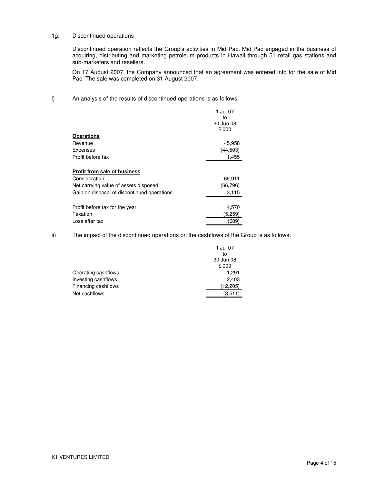#### 1g. Discontinued operations

 Discontinued operation reflects the Group's activities in Mid Pac. Mid Pac engaged in the business of acquiring, distributing and marketing petroleum products in Hawaii through 51 retail gas stations and sub-marketers and resellers.

 On 17 August 2007, the Company announced that an agreement was entered into for the sale of Mid Pac. The sale was completed on 31 August 2007.

i) An analysis of the results of discontinued operations is as follows:

|                                             | 1 Jul 07  |
|---------------------------------------------|-----------|
|                                             | to        |
|                                             | 30 Jun 08 |
|                                             | \$'000    |
| <b>Operations</b>                           |           |
| Revenue                                     | 45,958    |
| <b>Expenses</b>                             | (44,503)  |
| Profit before tax                           | 1,455     |
|                                             |           |
| <b>Profit from sale of business</b>         |           |
| Consideration                               | 69,911    |
| Net carrying value of assets disposed       | (66,796)  |
| Gain on disposal of discontinued operations | 3,115     |
|                                             |           |
| Profit before tax for the year              | 4,570     |
| Taxation                                    | (5,259)   |
| Loss after tax                              | (689)     |

ii) The impact of the discontinued operations on the cashflows of the Group is as follows:

|                     | 1 Jul 07  |
|---------------------|-----------|
|                     | to        |
|                     | 30 Jun 08 |
|                     | \$'000    |
| Operating cashflows | 1,291     |
| Investing cashflows | 2,403     |
| Financing cashflows | (12, 205) |
| Net cashflows       | (8,511)   |
|                     |           |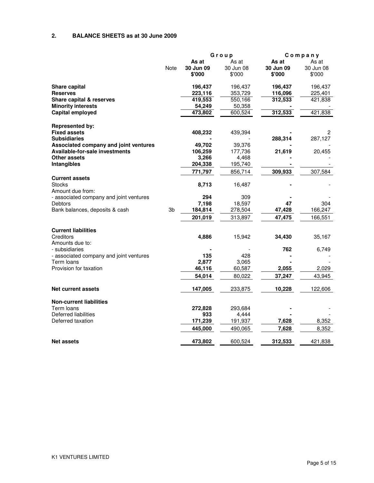# **2. BALANCE SHEETS as at 30 June 2009**

|                                                            |      | Group                        |                              | Company                      |                              |
|------------------------------------------------------------|------|------------------------------|------------------------------|------------------------------|------------------------------|
|                                                            | Note | As at<br>30 Jun 09<br>\$'000 | As at<br>30 Jun 08<br>\$'000 | As at<br>30 Jun 09<br>\$'000 | As at<br>30 Jun 08<br>\$'000 |
| <b>Share capital</b>                                       |      | 196,437                      | 196,437                      | 196,437                      | 196,437                      |
| <b>Reserves</b>                                            |      | 223,116                      | 353,729                      | 116,096                      | 225,401                      |
| Share capital & reserves                                   |      | 419,553                      | 550,166                      | 312,533                      | 421,838                      |
| <b>Minority interests</b>                                  |      | 54,249                       | 50,358                       |                              |                              |
| Capital employed                                           |      | 473,802                      | 600,524                      | 312,533                      | 421,838                      |
| <b>Represented by:</b>                                     |      |                              |                              |                              |                              |
| <b>Fixed assets</b>                                        |      | 408,232                      | 439,394                      |                              | 2                            |
| <b>Subsidiaries</b>                                        |      |                              |                              | 288,314                      | 287,127                      |
| Associated company and joint ventures                      |      | 49,702                       | 39,376                       |                              |                              |
| <b>Available-for-sale investments</b>                      |      | 106,259                      | 177,736                      | 21,619                       | 20,455                       |
| Other assets                                               |      | 3,266                        | 4,468                        |                              |                              |
| Intangibles                                                |      | 204,338                      | 195,740                      |                              |                              |
|                                                            |      | 771,797                      | 856,714                      | 309,933                      | 307,584                      |
| <b>Current assets</b><br><b>Stocks</b><br>Amount due from: |      | 8,713                        | 16,487                       |                              |                              |
| - associated company and joint ventures                    |      | 294                          | 309                          |                              |                              |
| <b>Debtors</b>                                             |      | 7,198                        | 18,597                       | 47                           | 304                          |
| Bank balances, deposits & cash                             | 3b   | 184,814                      | 278,504                      | 47,428                       | 166,247                      |
|                                                            |      | 201,019                      | 313,897                      | 47,475                       | 166,551                      |
| <b>Current liabilities</b>                                 |      |                              |                              |                              |                              |
| Creditors<br>Amounts due to:                               |      | 4,886                        | 15,942                       | 34,430                       | 35,167                       |
| - subsidiaries                                             |      |                              |                              | 762                          | 6,749                        |
| - associated company and joint ventures                    |      | 135                          | 428                          |                              |                              |
| Term loans                                                 |      | 2,877                        | 3,065                        |                              |                              |
| Provision for taxation                                     |      | 46,116                       | 60,587                       | 2,055                        | 2,029                        |
|                                                            |      | 54,014                       | 80,022                       | 37,247                       | 43,945                       |
| <b>Net current assets</b>                                  |      | 147,005                      | 233,875                      | 10,228                       | 122,606                      |
| <b>Non-current liabilities</b>                             |      |                              |                              |                              |                              |
| Term Ioans                                                 |      | 272,828                      | 293,684                      |                              |                              |
| Deferred liabilities                                       |      | 933                          | 4,444                        |                              |                              |
| Deferred taxation                                          |      | 171,239                      | 191,937                      | 7,628                        | 8,352                        |
|                                                            |      | 445,000                      | 490,065                      | 7,628                        | 8,352                        |
| <b>Net assets</b>                                          |      | 473,802                      | 600,524                      | 312,533                      | 421,838                      |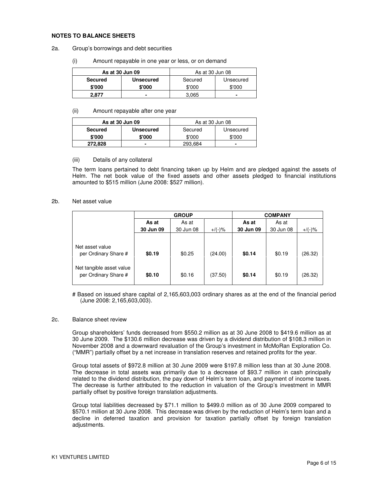#### **NOTES TO BALANCE SHEETS**

#### 2a. Group's borrowings and debt securities

(i) Amount repayable in one year or less, or on demand

| As at 30 Jun 09 |                  | As at 30 Jun 08 |           |
|-----------------|------------------|-----------------|-----------|
| <b>Secured</b>  | <b>Unsecured</b> | Secured         | Unsecured |
| \$'000          | \$'000           | \$'000          | \$'000    |
| 2.877           |                  | 3.065           |           |

#### (ii) Amount repayable after one year

| As at 30 Jun 09 |                  | As at 30 Jun 08 |           |
|-----------------|------------------|-----------------|-----------|
| <b>Secured</b>  | <b>Unsecured</b> | Secured         | Unsecured |
| \$'000          | \$'000           | \$'000          | \$'000    |
| 272.828         |                  | 293,684         |           |

#### (iii) Details of any collateral

The term loans pertained to debt financing taken up by Helm and are pledged against the assets of Helm. The net book value of the fixed assets and other assets pledged to financial institutions amounted to \$515 million (June 2008: \$527 million).

#### 2b. Net asset value

|                                                  | <b>GROUP</b> |           |           | <b>COMPANY</b> |           |           |  |
|--------------------------------------------------|--------------|-----------|-----------|----------------|-----------|-----------|--|
|                                                  | As at        | As at     |           | As at          | As at     |           |  |
|                                                  | 30 Jun 09    | 30 Jun 08 | $+$ /(-)% | 30 Jun 09      | 30 Jun 08 | $+/(-)$ % |  |
|                                                  |              |           |           |                |           |           |  |
| Net asset value<br>per Ordinary Share #          | \$0.19       | \$0.25    | (24.00)   | \$0.14         | \$0.19    | (26.32)   |  |
| Net tangible asset value<br>per Ordinary Share # | \$0.10       | \$0.16    | (37.50)   | \$0.14         | \$0.19    | (26.32)   |  |

# Based on issued share capital of 2,165,603,003 ordinary shares as at the end of the financial period (June 2008: 2,165,603,003).

#### 2c. Balance sheet review

Group shareholders' funds decreased from \$550.2 million as at 30 June 2008 to \$419.6 million as at 30 June 2009. The \$130.6 million decrease was driven by a dividend distribution of \$108.3 million in November 2008 and a downward revaluation of the Group's investment in McMoRan Exploration Co. ("MMR") partially offset by a net increase in translation reserves and retained profits for the year.

Group total assets of \$972.8 million at 30 June 2009 were \$197.8 million less than at 30 June 2008. The decrease in total assets was primarily due to a decrease of \$93.7 million in cash principally related to the dividend distribution, the pay down of Helm's term loan, and payment of income taxes. The decrease is further attributed to the reduction in valuation of the Group's investment in MMR partially offset by positive foreign translation adjustments.

Group total liabilities decreased by \$71.1 million to \$499.0 million as of 30 June 2009 compared to \$570.1 million at 30 June 2008. This decrease was driven by the reduction of Helm's term loan and a decline in deferred taxation and provision for taxation partially offset by foreign translation adjustments.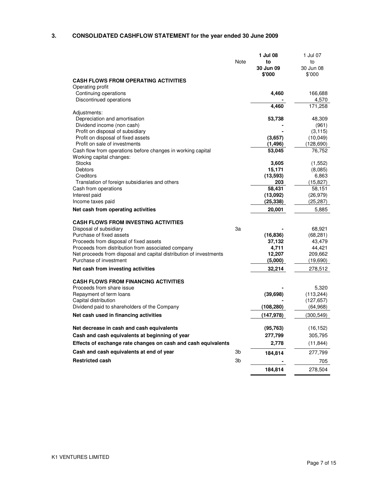# **3. CONSOLIDATED CASHFLOW STATEMENT for the year ended 30 June 2009**

|                                                                                                                          | Note | 1 Jul 08<br>to<br>30 Jun 09<br>\$'000 | 1 Jul 07<br>to<br>30 Jun 08<br>\$'000 |
|--------------------------------------------------------------------------------------------------------------------------|------|---------------------------------------|---------------------------------------|
| <b>CASH FLOWS FROM OPERATING ACTIVITIES</b>                                                                              |      |                                       |                                       |
| Operating profit<br>Continuing operations<br>Discontinued operations                                                     |      | 4,460                                 | 166,688<br>4,570                      |
|                                                                                                                          |      | 4,460                                 | 171,258                               |
| Adjustments:<br>Depreciation and amortisation                                                                            |      |                                       |                                       |
| Dividend income (non cash)                                                                                               |      | 53,738                                | 48,309<br>(961)                       |
| Profit on disposal of subsidiary                                                                                         |      |                                       | (3, 115)                              |
| Profit on disposal of fixed assets                                                                                       |      | (3,657)                               | (10, 049)                             |
| Profit on sale of investments                                                                                            |      | (1, 496)                              | (128, 690)                            |
| Cash flow from operations before changes in working capital<br>Working capital changes:                                  |      | 53,045                                | 76,752                                |
| <b>Stocks</b>                                                                                                            |      | 3,605                                 | (1,552)                               |
| Debtors<br>Creditors                                                                                                     |      | 15,171<br>(13, 593)                   | (8,085)                               |
| Translation of foreign subsidiaries and others                                                                           |      | 203                                   | 6,863<br>(15, 827)                    |
| Cash from operations                                                                                                     |      | 58,431                                | 58,151                                |
| Interest paid                                                                                                            |      | (13,092)                              | (26, 979)                             |
| Income taxes paid                                                                                                        |      | (25, 338)                             | (25, 287)                             |
| Net cash from operating activities                                                                                       |      | 20,001                                | 5,885                                 |
| <b>CASH FLOWS FROM INVESTING ACTIVITIES</b>                                                                              |      |                                       |                                       |
| Disposal of subsidiary                                                                                                   | 3a   |                                       | 68,921                                |
| Purchase of fixed assets                                                                                                 |      | (16, 836)                             | (68, 281)                             |
| Proceeds from disposal of fixed assets                                                                                   |      | 37,132                                | 43,479                                |
| Proceeds from distribution from associated company<br>Net proceeds from disposal and capital distribution of investments |      | 4,711<br>12,207                       | 44,421<br>209,662                     |
| Purchase of investment                                                                                                   |      | (5,000)                               | (19,690)                              |
| Net cash from investing activities                                                                                       |      | 32,214                                | 278,512                               |
| <b>CASH FLOWS FROM FINANCING ACTIVITIES</b>                                                                              |      |                                       |                                       |
| Proceeds from share issue                                                                                                |      |                                       | 5,320                                 |
| Repayment of term loans                                                                                                  |      | (39, 698)                             | (113, 244)                            |
| Capital distribution                                                                                                     |      |                                       | (127, 657)                            |
| Dividend paid to shareholders of the Company                                                                             |      | (108, 280)                            | (64, 968)                             |
| Net cash used in financing activities                                                                                    |      | (147, 978)                            | (300, 549)                            |
| Net decrease in cash and cash equivalents                                                                                |      | (95, 763)                             | (16, 152)                             |
| Cash and cash equivalents at beginning of year                                                                           |      | 277,799                               | 305,795                               |
| Effects of exchange rate changes on cash and cash equivalents                                                            |      | 2,778                                 | (11, 844)                             |
| Cash and cash equivalents at end of year                                                                                 | 3b   | 184,814                               | 277,799                               |
| <b>Restricted cash</b>                                                                                                   | 3b   |                                       | 705                                   |
|                                                                                                                          |      | 184,814                               | 278,504                               |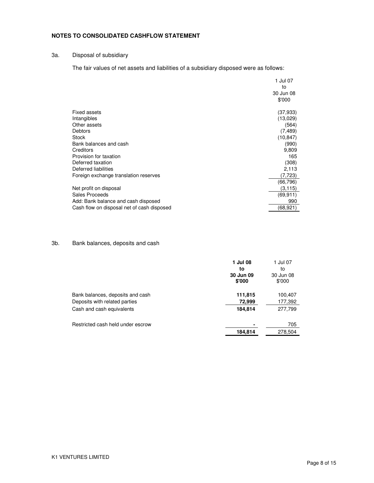### **NOTES TO CONSOLIDATED CASHFLOW STATEMENT**

## 3a. Disposal of subsidiary

The fair values of net assets and liabilities of a subsidiary disposed were as follows:

|                                            | 1 Jul 07<br>to |
|--------------------------------------------|----------------|
|                                            | 30 Jun 08      |
|                                            | \$'000         |
| Fixed assets                               | (37, 933)      |
| Intangibles                                | (13,029)       |
| Other assets                               | (564)          |
| Debtors                                    | (7, 489)       |
| <b>Stock</b>                               | (10, 847)      |
| Bank balances and cash                     | (990)          |
| Creditors                                  | 9,809          |
| Provision for taxation                     | 165            |
| Deferred taxation                          | (308)          |
| Deferred liabilities                       | 2,113          |
| Foreign exchange translation reserves      | (7,723)        |
|                                            | (66,796)       |
| Net profit on disposal                     | (3, 115)       |
| Sales Proceeds                             | (69, 911)      |
| Add: Bank balance and cash disposed        | 990            |
| Cash flow on disposal net of cash disposed | (68,921)       |

### 3b. Bank balances, deposits and cash

|                                                                                                | 1 Jul 08<br>to<br>30 Jun 09<br>\$'000 | 1 Jul 07<br>to<br>30 Jun 08<br>\$'000 |
|------------------------------------------------------------------------------------------------|---------------------------------------|---------------------------------------|
| Bank balances, deposits and cash<br>Deposits with related parties<br>Cash and cash equivalents | 111,815<br>72,999<br>184,814          | 100,407<br>177,392<br>277,799         |
| Restricted cash held under escrow                                                              | 184,814                               | 705<br>278,504                        |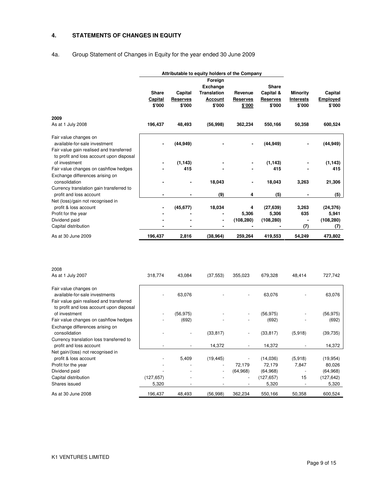# **4. STATEMENTS OF CHANGES IN EQUITY**

# 4a. Group Statement of Changes in Equity for the year ended 30 June 2009

|                                          | Attributable to equity holders of the Company |                 |                    |                 |                 |                 |                 |
|------------------------------------------|-----------------------------------------------|-----------------|--------------------|-----------------|-----------------|-----------------|-----------------|
|                                          | Foreign                                       |                 |                    |                 |                 |                 |                 |
|                                          |                                               |                 | <b>Exchange</b>    |                 | <b>Share</b>    |                 |                 |
|                                          | <b>Share</b>                                  | Capital         | <b>Translation</b> | Revenue         | Capital &       | <b>Minority</b> | Capital         |
|                                          | Capital                                       | <b>Reserves</b> | <b>Account</b>     | <b>Reserves</b> | <b>Reserves</b> | Interests       | <b>Employed</b> |
|                                          | \$'000                                        | \$'000          | \$'000             | \$'000          | \$'000          | \$'000          | \$'000          |
| 2009                                     |                                               |                 |                    |                 |                 |                 |                 |
| As at 1 July 2008                        | 196,437                                       | 48,493          | (56,998)           | 362,234         | 550,166         | 50,358          | 600,524         |
| Fair value changes on                    |                                               |                 |                    |                 |                 |                 |                 |
| available-for-sale investment            |                                               | (44, 949)       |                    |                 | (44, 949)       |                 | (44, 949)       |
| Fair value gain realised and transferred |                                               |                 |                    |                 |                 |                 |                 |
| to profit and loss account upon disposal |                                               |                 |                    |                 |                 |                 |                 |
| of investment                            |                                               | (1, 143)        |                    |                 | (1, 143)        |                 | (1, 143)        |
| Fair value changes on cashflow hedges    |                                               | 415             |                    |                 | 415             |                 | 415             |
| Exchange differences arising on          |                                               |                 |                    |                 |                 |                 |                 |
| consolidation                            |                                               |                 | 18,043             |                 | 18,043          | 3,263           | 21,306          |
| Currency translation gain transferred to |                                               |                 |                    |                 |                 |                 |                 |
| profit and loss account                  |                                               |                 | (9)                | 4               | (5)             |                 | (5)             |
| Net (loss)/gain not recognised in        |                                               |                 |                    |                 |                 |                 |                 |
| profit & loss account                    |                                               | (45, 677)       | 18,034             | 4               | (27, 639)       | 3,263           | (24, 376)       |
| Profit for the year                      |                                               |                 |                    | 5,306           | 5,306           | 635             | 5,941           |
| Dividend paid                            |                                               |                 | ۰                  | (108, 280)      | (108, 280)      |                 | (108, 280)      |
| Capital distribution                     |                                               |                 |                    |                 |                 | (7)             | (7)             |
| As at 30 June 2009                       | 196,437                                       | 2,816           | (38, 964)          | 259,264         | 419,553         | 54,249          | 473,802         |

| 2008                                                                                 |            |           |           |                          |            |         |            |
|--------------------------------------------------------------------------------------|------------|-----------|-----------|--------------------------|------------|---------|------------|
| As at 1 July 2007                                                                    | 318,774    | 43,084    | (37, 553) | 355,023                  | 679,328    | 48,414  | 727,742    |
| Fair value changes on                                                                |            |           |           |                          |            |         |            |
| available-for-sale investments                                                       |            | 63,076    |           |                          | 63,076     |         | 63,076     |
| Fair value gain realised and transferred<br>to profit and loss account upon disposal |            |           |           |                          |            |         |            |
| of investment                                                                        |            | (56, 975) |           | $\overline{\phantom{a}}$ | (56, 975)  |         | (56, 975)  |
| Fair value changes on cashflow hedges                                                |            | (692)     |           |                          | (692)      |         | (692)      |
| Exchange differences arising on                                                      |            |           |           |                          |            |         |            |
| consolidation                                                                        |            |           | (33, 817) | $\overline{\phantom{a}}$ | (33, 817)  | (5,918) | (39, 735)  |
| Currency translation loss transferred to                                             |            |           |           |                          |            |         |            |
| profit and loss account                                                              |            |           | 14,372    |                          | 14,372     |         | 14,372     |
| Net gain/(loss) not recognised in                                                    |            |           |           |                          |            |         |            |
| profit & loss account                                                                |            | 5,409     | (19, 445) |                          | (14,036)   | (5,918) | (19, 954)  |
| Profit for the year                                                                  |            |           |           | 72,179                   | 72,179     | 7,847   | 80,026     |
| Dividend paid                                                                        |            |           |           | (64, 968)                | (64, 968)  |         | (64, 968)  |
| Capital distribution                                                                 | (127, 657) |           |           | $\overline{\phantom{a}}$ | (127, 657) | 15      | (127, 642) |
| Shares issued                                                                        | 5,320      |           |           |                          | 5,320      |         | 5,320      |
| As at 30 June 2008                                                                   | 196,437    | 48,493    | (56,998)  | 362,234                  | 550,166    | 50,358  | 600,524    |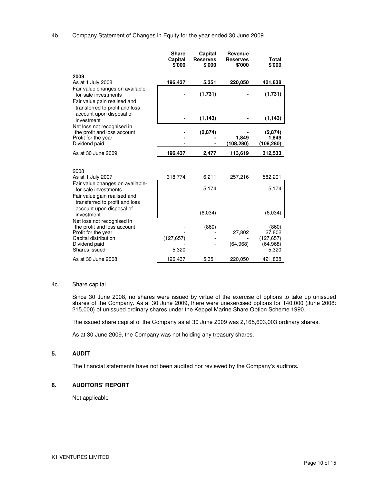#### 4b. Company Statement of Changes in Equity for the year ended 30 June 2009

|                                                                                                                                                         | <b>Share</b><br>Capital<br>\$'000 | Capital<br><b>Reserves</b><br>\$'000 | Revenue<br><b>Reserves</b><br>\$'000 | <u>Total</u><br>\$'000                              |
|---------------------------------------------------------------------------------------------------------------------------------------------------------|-----------------------------------|--------------------------------------|--------------------------------------|-----------------------------------------------------|
| 2009                                                                                                                                                    | 196,437                           | 5,351                                | 220,050                              | 421,838                                             |
| As at 1 July 2008<br>Fair value changes on available-<br>for-sale investments<br>Fair value gain realised and<br>transferred to profit and loss         |                                   | (1,731)                              |                                      | (1,731)                                             |
| account upon disposal of<br>investment                                                                                                                  |                                   | (1, 143)                             |                                      | (1, 143)                                            |
| Net loss not recognised in<br>the profit and loss account<br>Profit for the year<br>Dividend paid                                                       |                                   | (2,874)                              | 1,849<br>(108, 280)                  | (2,874)<br>1,849<br>(108,280)                       |
| As at 30 June 2009                                                                                                                                      | 196,437                           | 2,477                                | 113,619                              | 312,533                                             |
| 2008<br>As at 1 July 2007<br>Fair value changes on available-<br>for-sale investments<br>Fair value gain realised and<br>transferred to profit and loss | 318,774                           | 6,211<br>5,174                       | 257,216                              | 582,201<br>5.174                                    |
| account upon disposal of<br>investment                                                                                                                  |                                   | (6,034)                              |                                      | (6,034)                                             |
| Net loss not recognised in<br>the profit and loss account<br>Profit for the year<br>Capital distribution<br>Dividend paid<br>Shares issued              | (127, 657)<br>5,320               | (860)                                | 27,802<br>(64, 968)                  | (860)<br>27,802<br>(127, 657)<br>(64, 968)<br>5,320 |
| As at 30 June 2008                                                                                                                                      | 196,437                           | 5,351                                | 220,050                              | 421,838                                             |

#### 4c. Share capital

Since 30 June 2008, no shares were issued by virtue of the exercise of options to take up unissued shares of the Company. As at 30 June 2009, there were unexercised options for 140,000 (June 2008: 215,000) of unissued ordinary shares under the Keppel Marine Share Option Scheme 1990.

The issued share capital of the Company as at 30 June 2009 was 2,165,603,003 ordinary shares.

As at 30 June 2009, the Company was not holding any treasury shares.

### **5. AUDIT**

The financial statements have not been audited nor reviewed by the Company's auditors.

#### **6. AUDITORS' REPORT**

Not applicable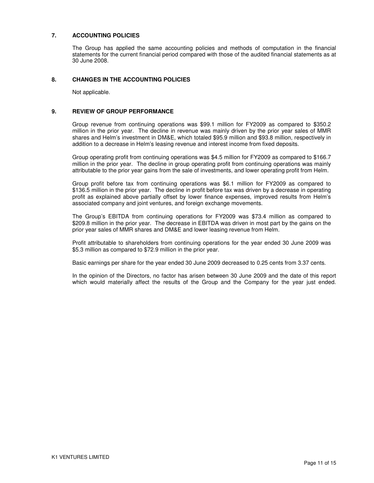### **7. ACCOUNTING POLICIES**

The Group has applied the same accounting policies and methods of computation in the financial statements for the current financial period compared with those of the audited financial statements as at 30 June 2008.

#### **8. CHANGES IN THE ACCOUNTING POLICIES**

Not applicable.

#### **9. REVIEW OF GROUP PERFORMANCE**

Group revenue from continuing operations was \$99.1 million for FY2009 as compared to \$350.2 million in the prior year. The decline in revenue was mainly driven by the prior year sales of MMR shares and Helm's investment in DM&E, which totaled \$95.9 million and \$93.8 million, respectively in addition to a decrease in Helm's leasing revenue and interest income from fixed deposits.

Group operating profit from continuing operations was \$4.5 million for FY2009 as compared to \$166.7 million in the prior year. The decline in group operating profit from continuing operations was mainly attributable to the prior year gains from the sale of investments, and lower operating profit from Helm.

Group profit before tax from continuing operations was \$6.1 million for FY2009 as compared to \$136.5 million in the prior year. The decline in profit before tax was driven by a decrease in operating profit as explained above partially offset by lower finance expenses, improved results from Helm's associated company and joint ventures, and foreign exchange movements.

The Group's EBITDA from continuing operations for FY2009 was \$73.4 million as compared to \$209.8 million in the prior year. The decrease in EBITDA was driven in most part by the gains on the prior year sales of MMR shares and DM&E and lower leasing revenue from Helm.

Profit attributable to shareholders from continuing operations for the year ended 30 June 2009 was \$5.3 million as compared to \$72.9 million in the prior year.

Basic earnings per share for the year ended 30 June 2009 decreased to 0.25 cents from 3.37 cents.

 In the opinion of the Directors, no factor has arisen between 30 June 2009 and the date of this report which would materially affect the results of the Group and the Company for the year just ended.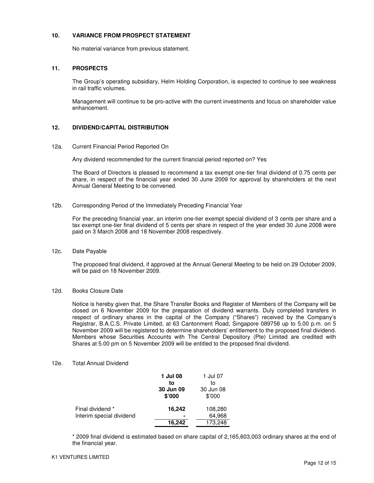### **10. VARIANCE FROM PROSPECT STATEMENT**

No material variance from previous statement.

### **11. PROSPECTS**

The Group's operating subsidiary, Helm Holding Corporation, is expected to continue to see weakness in rail traffic volumes.

Management will continue to be pro-active with the current investments and focus on shareholder value enhancement.

### **12. DIVIDEND/CAPITAL DISTRIBUTION**

#### 12a. Current Financial Period Reported On

Any dividend recommended for the current financial period reported on? Yes

The Board of Directors is pleased to recommend a tax exempt one-tier final dividend of 0.75 cents per share, in respect of the financial year ended 30 June 2009 for approval by shareholders at the next Annual General Meeting to be convened.

#### 12b. Corresponding Period of the Immediately Preceding Financial Year

For the preceding financial year, an interim one-tier exempt special dividend of 3 cents per share and a tax exempt one-tier final dividend of 5 cents per share in respect of the year ended 30 June 2008 were paid on 3 March 2008 and 18 November 2008 respectively.

### 12c. Date Payable

The proposed final dividend, if approved at the Annual General Meeting to be held on 29 October 2009, will be paid on 18 November 2009.

#### 12d. Books Closure Date

Notice is hereby given that, the Share Transfer Books and Register of Members of the Company will be closed on 6 November 2009 for the preparation of dividend warrants. Duly completed transfers in respect of ordinary shares in the capital of the Company ("Shares") received by the Company's Registrar, B.A.C.S. Private Limited, at 63 Cantonment Road, Singapore 089758 up to 5.00 p.m. on 5 November 2009 will be registered to determine shareholders' entitlement to the proposed final dividend. Members whose Securities Accounts with The Central Depository (Pte) Limited are credited with Shares at 5.00 pm on 5 November 2009 will be entitled to the proposed final dividend.

### 12e. Total Annual Dividend

|                          | 1 Jul 08<br>to<br>30 Jun 09<br>\$'000 | 1 Jul 07<br>to<br>30 Jun 08<br>\$7000 |
|--------------------------|---------------------------------------|---------------------------------------|
| Final dividend *         | 16,242                                | 108,280                               |
| Interim special dividend |                                       | 64,968                                |
|                          | 16,242                                | 173,248                               |

 \* 2009 final dividend is estimated based on share capital of 2,165,603,003 ordinary shares at the end of the financial year.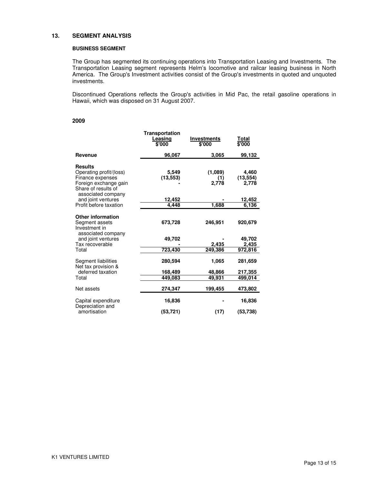#### **13. SEGMENT ANALYSIS**

#### **BUSINESS SEGMENT**

The Group has segmented its continuing operations into Transportation Leasing and Investments. The Transportation Leasing segment represents Helm's locomotive and railcar leasing business in North America. The Group's Investment activities consist of the Group's investments in quoted and unquoted investments.

Discontinued Operations reflects the Group's activities in Mid Pac, the retail gasoline operations in Hawaii, which was disposed on 31 August 2007.

#### **2009**

|                                                                                                                                     | Transportation<br>Leasing<br>\$'000 | Investments<br>\$'000       | Total<br>\$'000                       |
|-------------------------------------------------------------------------------------------------------------------------------------|-------------------------------------|-----------------------------|---------------------------------------|
| Revenue                                                                                                                             | 96,067                              | 3.065                       | 99,132                                |
| <b>Results</b><br>Operating profit/(loss)<br>Finance expenses<br>Foreign exchange gain<br>Share of results of                       | 5,549<br>(13,553)                   | (1,089)<br>(1)<br>2,778     | 4,460<br>(13, 554)<br>2,778           |
| associated company<br>and joint ventures                                                                                            | 12,452                              |                             | 12,452                                |
| Profit before taxation                                                                                                              | 4,448                               | 1.688                       | 6.136                                 |
| <b>Other information</b><br>Segment assets<br>Investment in<br>associated company<br>and joint ventures<br>Tax recoverable<br>Total | 673,728<br>49,702<br>723,430        | 246,951<br>2,435<br>249,386 | 920,679<br>49,702<br>2,435<br>972,816 |
| Segment liabilities<br>Net tax provision &<br>deferred taxation<br>Total                                                            | 280,594<br>168,489<br>449,083       | 1,065<br>48,866<br>49.931   | 281,659<br>217,355<br>499,014         |
| Net assets                                                                                                                          | 274,347                             | 199,455                     | 473,802                               |
| Capital expenditure<br>Depreciation and                                                                                             | 16,836                              |                             | 16,836                                |
| amortisation                                                                                                                        | (53,721)                            | (17)                        | (53,738)                              |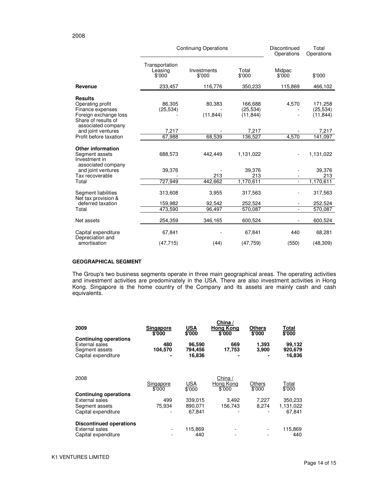|                                                                                                                              | <b>Continuing Operations</b>        |                       |                                   | Discontinued<br>Operations | Total<br>Operations               |
|------------------------------------------------------------------------------------------------------------------------------|-------------------------------------|-----------------------|-----------------------------------|----------------------------|-----------------------------------|
|                                                                                                                              | Transportation<br>Leasing<br>\$'000 | Investments<br>\$'000 | Total<br>\$'000                   | Midpac<br>\$'000           | \$'000                            |
| Revenue                                                                                                                      | 233,457                             | 116,776               | 350,233                           | 115,869                    | 466,102                           |
| <b>Results</b><br>Operating profit<br>Finance expenses<br>Foreign exchange loss<br>Share of results of<br>associated company | 86,305<br>(25, 534)                 | 80,383<br>(11, 844)   | 166,688<br>(25, 534)<br>(11, 844) | 4,570                      | 171,258<br>(25, 534)<br>(11, 844) |
| and joint ventures                                                                                                           | 7,217                               |                       | 7,217                             |                            | 7,217                             |
| Profit before taxation                                                                                                       | 67,988                              | 68,539                | 136,527                           | 4,570                      | 141,097                           |
| <b>Other information</b><br>Segment assets<br>Investment in<br>associated company                                            | 688,573                             | 442,449               | 1,131,022                         |                            | 1,131,022                         |
| and joint ventures                                                                                                           | 39,376                              |                       | 39,376                            |                            | 39,376                            |
| Tax recoverable                                                                                                              |                                     | 213                   | 213                               |                            | 213                               |
| Total                                                                                                                        | 727,949                             | 442,662               | 1,170,611                         |                            | 1,170,611                         |
| Segment liabilities<br>Net tax provision &                                                                                   | 313,608                             | 3,955                 | 317,563                           |                            | 317,563                           |
| deferred taxation                                                                                                            | 159,982                             | 92,542                | 252,524                           |                            | 252,524                           |
| Total                                                                                                                        | 473,590                             | 96,497                | 570,087                           | ÷.                         | 570,087                           |
| Net assets                                                                                                                   | 254,359                             | 346,165               | 600,524                           |                            | 600,524                           |
| Capital expenditure<br>Depreciation and                                                                                      | 67,841                              |                       | 67,841                            | 440                        | 68,281                            |
| amortisation                                                                                                                 | (47, 715)                           | (44)                  | (47, 759)                         | (550)                      | (48, 309)                         |

### **GEOGRAPHICAL SEGMENT**

The Group's two business segments operate in three main geographical areas. The operating activities and investment activities are predominately in the USA. There are also investment activities in Hong Kong. Singapore is the home country of the Company and its assets are mainly cash and cash equivalents.

| 2009                                                                                           | <b>Singapore</b><br>\$'000 | USA<br>\$'000               | China /<br><b>Hong Kong</b><br>\$'000 | <b>Others</b><br>\$'000 | Total<br>\$'000             |
|------------------------------------------------------------------------------------------------|----------------------------|-----------------------------|---------------------------------------|-------------------------|-----------------------------|
| <b>Continuing operations</b><br><b>External sales</b><br>Segment assets<br>Capital expenditure | 480<br>104,570             | 96,590<br>794,456<br>16,836 | 669<br>17,753                         | 1,393<br>3,900          | 99,132<br>920,679<br>16,836 |
| 2008                                                                                           | Singapore<br>\$'000        | <b>USA</b><br>\$'000        | China /<br>Hong Kong<br>\$'000        | Others<br>\$'000        | Total<br>\$'000             |
| <b>Continuing operations</b>                                                                   |                            |                             |                                       |                         |                             |
| External sales                                                                                 | 499                        | 339.015                     | 3.492                                 | 7.227                   | 350,233                     |
| Segment assets                                                                                 | 75,934                     | 890,071                     | 156.743                               | 8,274                   | 1,131,022                   |
| Capital expenditure                                                                            |                            | 67.841                      |                                       |                         | 67.841                      |
| <b>Discontinued operations</b>                                                                 |                            |                             |                                       |                         |                             |
| External sales<br>Capital expenditure                                                          |                            | 115,869<br>440              |                                       |                         | 115,869<br>440              |